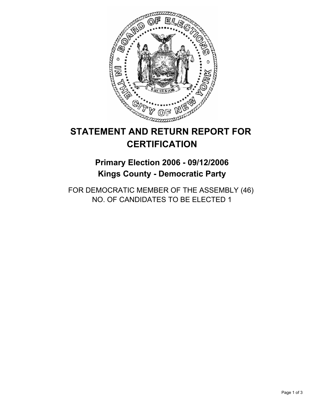

# **STATEMENT AND RETURN REPORT FOR CERTIFICATION**

# **Primary Election 2006 - 09/12/2006 Kings County - Democratic Party**

FOR DEMOCRATIC MEMBER OF THE ASSEMBLY (46) NO. OF CANDIDATES TO BE ELECTED 1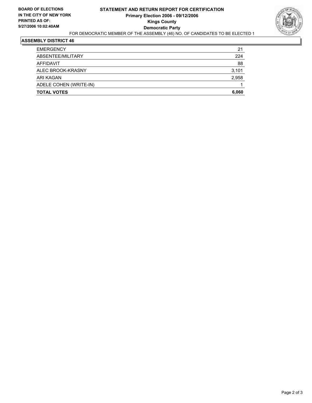

## **ASSEMBLY DISTRICT 46**

| <b>EMERGENCY</b>       | 21    |
|------------------------|-------|
| ABSENTEE/MILITARY      | 224   |
| AFFIDAVIT              | 88    |
| ALEC BROOK-KRASNY      | 3,101 |
| ARI KAGAN              | 2,958 |
| ADELE COHEN (WRITE-IN) |       |
| <b>TOTAL VOTES</b>     | 6,060 |